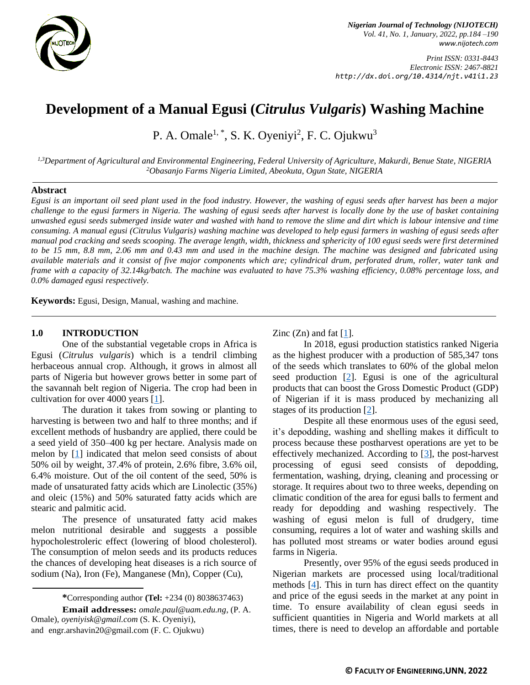

*Print ISSN: 0331-8443 Electronic ISSN: 2467-8821 http://dx.doi.org/10.4314/njt.v41i1.23*

# **Development of a Manual Egusi (***Citrulus Vulgaris***) Washing Machine**

P. A. Omale<sup>1, \*</sup>, S. K. Oyeniyi<sup>2</sup>, F. C. Ojukwu<sup>3</sup>

*1,3Department of Agricultural and Environmental Engineering, Federal University of Agriculture, Makurdi, Benue State, NIGERIA <sup>2</sup>Obasanjo Farms Nigeria Limited, Abeokuta, Ogun State, NIGERIA*

## **Abstract**

*Egusi is an important oil seed plant used in the food industry. However, the washing of egusi seeds after harvest has been a major challenge to the egusi farmers in Nigeria. The washing of egusi seeds after harvest is locally done by the use of basket containing unwashed egusi seeds submerged inside water and washed with hand to remove the slime and dirt which is labour intensive and time consuming. A manual egusi (Citrulus Vulgaris) washing machine was developed to help egusi farmers in washing of egusi seeds after manual pod cracking and seeds scooping. The average length, width, thickness and sphericity of 100 egusi seeds were first determined to be 15 mm, 8.8 mm, 2.06 mm and 0.43 mm and used in the machine design. The machine was designed and fabricated using available materials and it consist of five major components which are; cylindrical drum, perforated drum, roller, water tank and frame with a capacity of 32.14kg/batch. The machine was evaluated to have 75.3% washing efficiency, 0.08% percentage loss, and 0.0% damaged egusi respectively.*

**Keywords:** Egusi, Design, Manual, washing and machine.

## **1.0 INTRODUCTION**

One of the substantial vegetable crops in Africa is Egusi (*Citrulus vulgaris*) which is a tendril climbing herbaceous annual crop. Although, it grows in almost all parts of Nigeria but however grows better in some part of the savannah belt region of Nigeria. The crop had been in cultivation for over 4000 years [\[1\]](#page-6-0).

The duration it takes from sowing or planting to harvesting is between two and half to three months; and if excellent methods of husbandry are applied, there could be a seed yield of 350–400 kg per hectare. Analysis made on melon by [\[1\]](#page-6-0) indicated that melon seed consists of about 50% oil by weight, 37.4% of protein, 2.6% fibre, 3.6% oil, 6.4% moisture. Out of the oil content of the seed, 50% is made of unsaturated fatty acids which are Linolectic (35%) and oleic (15%) and 50% saturated fatty acids which are stearic and palmitic acid.

The presence of unsaturated fatty acid makes melon nutritional desirable and suggests a possible hypocholestroleric effect (lowering of blood cholesterol). The consumption of melon seeds and its products reduces the chances of developing heat diseases is a rich source of sodium (Na), Iron (Fe), Manganese (Mn), Copper (Cu),

**Email addresses:** *[omale.paul@uam.edu.ng](mailto:omale.paul@uam.edu.ng)*, (P. A. Omale), *[oyeniyisk@gmail.com](mailto:oyeniyisk@gmail.com)* (S. K. Oyeniyi), and [engr.arshavin20@gmail.com](mailto:engr.arshavin20@gmail.com) (F. C. Ojukwu)

Zinc  $(Zn)$  and fat  $[1]$ .

In 2018, egusi production statistics ranked Nigeria as the highest producer with a production of 585,347 tons of the seeds which translates to 60% of the global melon seed production [\[2\]](#page-6-1). Egusi is one of the agricultural products that can boost the Gross Domestic Product (GDP) of Nigerian if it is mass produced by mechanizing all stages of its production [\[2\]](#page-6-1).

Despite all these enormous uses of the egusi seed, it's depodding, washing and shelling makes it difficult to process because these postharvest operations are yet to be effectively mechanized. According to [\[3\]](#page-6-2), the post-harvest processing of egusi seed consists of depodding, fermentation, washing, drying, cleaning and processing or storage. It requires about two to three weeks, depending on climatic condition of the area for egusi balls to ferment and ready for depodding and washing respectively. The washing of egusi melon is full of drudgery, time consuming, requires a lot of water and washing skills and has polluted most streams or water bodies around egusi farms in Nigeria.

Presently, over 95% of the egusi seeds produced in Nigerian markets are processed using local/traditional methods  $[4]$ . This in turn has direct effect on the quantity and price of the egusi seeds in the market at any point in time. To ensure availability of clean egusi seeds in sufficient quantities in Nigeria and World markets at all times, there is need to develop an affordable and portable

**<sup>\*</sup>**Corresponding author **[\(Te](mailto:samnnaemeka.ugwu@unn.edu.ng)l:** +234 (0) 8038637463)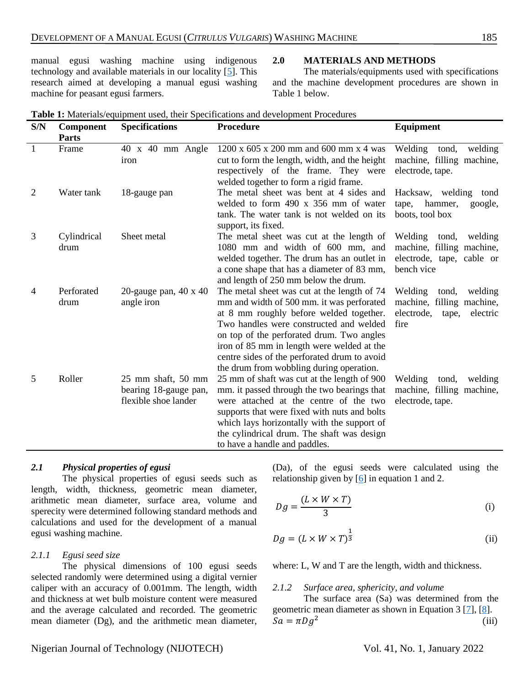manual egusi washing machine using indigenous technology and available materials in our locality [\[5\]](#page-6-4). This research aimed at developing a manual egusi washing machine for peasant egusi farmers.

#### **2.0 MATERIALS AND METHODS**

The materials/equipments used with specifications and the machine development procedures are shown in Table 1 below.

| S/N            | Component<br><b>Parts</b> | <b>Specifications</b>                                               | <b>Procedure</b>                                                                                                                                                                                                                                                                                                                                                      | <b>Equipment</b>                                                                                    |
|----------------|---------------------------|---------------------------------------------------------------------|-----------------------------------------------------------------------------------------------------------------------------------------------------------------------------------------------------------------------------------------------------------------------------------------------------------------------------------------------------------------------|-----------------------------------------------------------------------------------------------------|
| $\mathbf{1}$   | Frame                     | $40 \times 40$ mm Angle<br>iron                                     | $1200 \times 605 \times 200$ mm and 600 mm x 4 was<br>cut to form the length, width, and the height<br>respectively of the frame. They were<br>welded together to form a rigid frame.                                                                                                                                                                                 | Welding<br>tond,<br>welding<br>machine, filling machine,<br>electrode, tape.                        |
| $\overline{2}$ | Water tank                | 18-gauge pan                                                        | The metal sheet was bent at 4 sides and<br>welded to form 490 x 356 mm of water<br>tank. The water tank is not welded on its<br>support, its fixed.                                                                                                                                                                                                                   | Hacksaw, welding tond<br>hammer,<br>google,<br>tape,<br>boots, tool box                             |
| 3              | Cylindrical<br>drum       | Sheet metal                                                         | The metal sheet was cut at the length of<br>1080 mm and width of 600 mm, and<br>welded together. The drum has an outlet in<br>a cone shape that has a diameter of 83 mm,<br>and length of 250 mm below the drum.                                                                                                                                                      | Welding<br>tond,<br>welding<br>machine, filling machine,<br>electrode, tape, cable or<br>bench vice |
| $\overline{4}$ | Perforated<br>drum        | 20-gauge pan, $40 \times 40$<br>angle iron                          | The metal sheet was cut at the length of 74<br>mm and width of 500 mm. it was perforated<br>at 8 mm roughly before welded together.<br>Two handles were constructed and welded<br>on top of the perforated drum. Two angles<br>iron of 85 mm in length were welded at the<br>centre sides of the perforated drum to avoid<br>the drum from wobbling during operation. | Welding<br>welding<br>tond,<br>machine, filling machine,<br>electrode,<br>electric<br>tape,<br>fire |
| 5              | Roller                    | 25 mm shaft, 50 mm<br>bearing 18-gauge pan,<br>flexible shoe lander | 25 mm of shaft was cut at the length of 900<br>mm. it passed through the two bearings that<br>were attached at the centre of the two<br>supports that were fixed with nuts and bolts<br>which lays horizontally with the support of<br>the cylindrical drum. The shaft was design<br>to have a handle and paddles.                                                    | Welding<br>tond,<br>welding<br>machine, filling machine,<br>electrode, tape.                        |

**Table 1:** Materials/equipment used, their Specifications and development Procedures

## *2.1 Physical properties of egusi*

The physical properties of egusi seeds such as length, width, thickness, geometric mean diameter, arithmetic mean diameter, surface area, volume and sperecity were determined following standard methods and calculations and used for the development of a manual egusi washing machine.

# *2.1.1 Egusi seed size*

The physical dimensions of 100 egusi seeds selected randomly were determined using a digital vernier caliper with an accuracy of 0.001mm. The length, width and thickness at wet bulb moisture content were measured and the average calculated and recorded. The geometric mean diameter (Dg), and the arithmetic mean diameter,

(Da), of the egusi seeds were calculated using the relationship given by [\[6\]](#page-6-5) in equation 1 and 2.

$$
Dg = \frac{(L \times W \times T)}{3}
$$
 (i)

$$
Dg = (L \times W \times T)^{\frac{1}{3}} \tag{ii}
$$

where: L, W and T are the length, width and thickness.

#### *2.1.2 Surface area, sphericity, and volume*

The surface area (Sa) was determined from the geometric mean diameter as shown in Equation 3 [\[7\]](#page-6-6), [\[8\]](#page-6-6).  $Sa = \pi Dg^2$ (iii)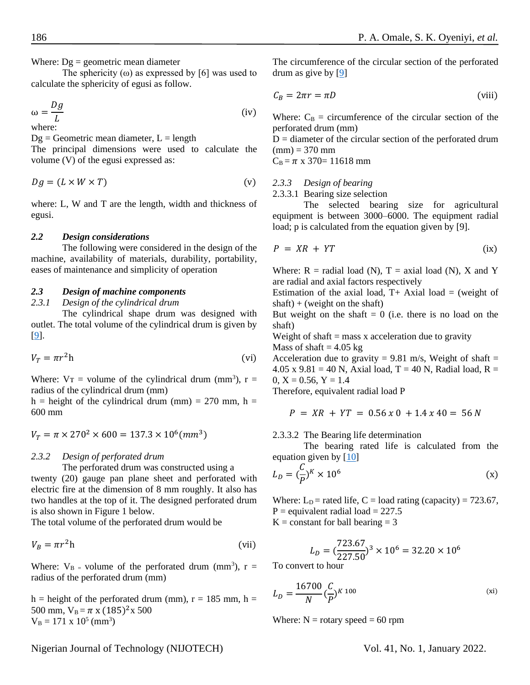Where:  $Dg =$  geometric mean diameter

The sphericity  $(\omega)$  as expressed by [6] was used to calculate the sphericity of egusi as follow.

$$
\omega = \frac{Dg}{L} \tag{iv}
$$

where:

 $Dg =$  Geometric mean diameter,  $L =$  length

The principal dimensions were used to calculate the volume (V) of the egusi expressed as:

$$
Dg = (L \times W \times T) \tag{v}
$$

where: L, W and T are the length, width and thickness of egusi.

#### *2.2 Design considerations*

The following were considered in the design of the machine, availability of materials, durability, portability, eases of maintenance and simplicity of operation

## *2.3 Design of machine components*

*2.3.1 Design of the cylindrical drum*

The cylindrical shape drum was designed with outlet. The total volume of the cylindrical drum is given by [\[9\]](#page-6-7).

$$
V_T = \pi r^2 h \tag{vi}
$$

Where:  $V_T$  = volume of the cylindrical drum (mm<sup>3</sup>), r = radius of the cylindrical drum (mm)

h = height of the cylindrical drum (mm) = 270 mm, h = 600 mm

$$
V_T = \pi \times 270^2 \times 600 = 137.3 \times 10^6 (mm^3)
$$

#### *2.3.2 Design of perforated drum*

The perforated drum was constructed using a

twenty (20) gauge pan plane sheet and perforated with electric fire at the dimension of 8 mm roughly. It also has two handles at the top of it. The designed perforated drum is also shown in Figure 1 below.

The total volume of the perforated drum would be

$$
V_B = \pi r^2 h \tag{vii}
$$

Where:  $V_{\text{B}}$  = volume of the perforated drum (mm<sup>3</sup>), r = radius of the perforated drum (mm)

h = height of the perforated drum (mm),  $r = 185$  mm, h = 500 mm,  $V_B = \pi x (185)^2 x 500$  $V_B = 171 \times 10^5 \text{ (mm}^3)$ 

The circumference of the circular section of the perforated drum as give by [\[9\]](#page-6-7)

$$
C_B = 2\pi r = \pi D \tag{viii}
$$

Where:  $C_B$  = circumference of the circular section of the perforated drum (mm)

 $D =$  diameter of the circular section of the perforated drum  $(mm) = 370$  mm

 $C_B = \pi \times 370 = 11618$  mm

#### *2.3.3 Design of bearing*

2.3.3.1 Bearing size selection

The selected bearing size for agricultural equipment is between 3000–6000. The equipment radial load; p is calculated from the equation given by [9].

$$
P = XR +YT
$$
 (ix)

Where:  $R =$  radial load (N),  $T =$  axial load (N), X and Y are radial and axial factors respectively

Estimation of the axial load,  $T+$  Axial load = (weight of  $shaff$ ) + (weight on the shaft)

But weight on the shaft  $= 0$  (i.e. there is no load on the shaft)

Weight of shaft  $=$  mass x acceleration due to gravity Mass of shaft  $= 4.05$  kg

Acceleration due to gravity = 9.81 m/s, Weight of shaft = 4.05 x  $9.81 = 40$  N, Axial load, T = 40 N, Radial load, R =  $0, X = 0.56, Y = 1.4$ 

Therefore, equivalent radial load P

$$
P = XR + YT = 0.56 \times 0 + 1.4 \times 40 = 56 N
$$

2.3.3.2 The Bearing life determination

The bearing rated life is calculated from the equation given by  $[10]$ 

$$
L_D = \left(\frac{C}{P}\right)^K \times 10^6 \tag{x}
$$

Where:  $L<sub>D</sub>$  = rated life, C = load rating (capacity) = 723.67,  $P =$  equivalent radial load = 227.5  $K = constant$  for ball bearing  $= 3$ 

$$
L_D = \left(\frac{723.67}{227.50}\right)^3 \times 10^6 = 32.20 \times 10^6
$$

To convert to hour

$$
L_D = \frac{16700}{N} \left(\frac{C}{P}\right)^{K \, 100} \tag{xi}
$$

Where:  $N =$  rotary speed = 60 rpm

Nigerian Journal of Technology (NIJOTECH) Vol. 41, No. 1, January 2022.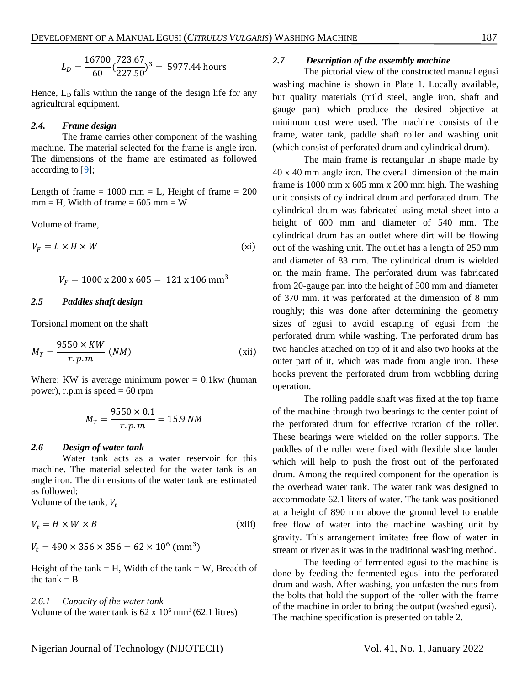$$
L_D = \frac{16700}{60} \left(\frac{723.67}{227.50}\right)^3 = 5977.44 \text{ hours}
$$

Hence, L<sub>D</sub> falls within the range of the design life for any agricultural equipment.

## *2.4. Frame design*

The frame carries other component of the washing machine. The material selected for the frame is angle iron. The dimensions of the frame are estimated as followed according to [\[9\]](#page-6-7);

Length of frame  $= 1000$  mm  $= L$ , Height of frame  $= 200$  $mm = H$ , Width of frame = 605 mm = W

Volume of frame,

$$
V_F = L \times H \times W \tag{xi}
$$

$$
V_F = 1000 \times 200 \times 605 = 121 \times 106 \text{ mm}^3
$$

#### *2.5 Paddles shaft design*

Torsional moment on the shaft

$$
M_T = \frac{9550 \times KW}{r.p.m} \ (NM) \tag{xii}
$$

Where: KW is average minimum power  $= 0.1$ kw (human power), r.p.m is speed  $= 60$  rpm

$$
M_T = \frac{9550 \times 0.1}{r.p.m} = 15.9 \text{ NM}
$$

## *2.6 Design of water tank*

Water tank acts as a water reservoir for this machine. The material selected for the water tank is an angle iron. The dimensions of the water tank are estimated as followed;

Volume of the tank,  $V_t$ 

$$
V_t = H \times W \times B \tag{xiii}
$$

 $V_t = 490 \times 356 \times 356 = 62 \times 10^6 \text{ (mm}^3)$ 

Height of the tank  $=$  H, Width of the tank  $=$  W, Breadth of the tank  $=$  B

*2.6.1 Capacity of the water tank* Volume of the water tank is  $62 \times 10^6$  mm<sup>3</sup> (62.1 litres)

#### *2.7 Description of the assembly machine*

The pictorial view of the constructed manual egusi washing machine is shown in Plate 1. Locally available, but quality materials (mild steel, angle iron, shaft and gauge pan) which produce the desired objective at minimum cost were used. The machine consists of the frame, water tank, paddle shaft roller and washing unit (which consist of perforated drum and cylindrical drum).

The main frame is rectangular in shape made by 40 x 40 mm angle iron. The overall dimension of the main frame is 1000 mm x 605 mm x 200 mm high. The washing unit consists of cylindrical drum and perforated drum. The cylindrical drum was fabricated using metal sheet into a height of 600 mm and diameter of 540 mm. The cylindrical drum has an outlet where dirt will be flowing out of the washing unit. The outlet has a length of 250 mm and diameter of 83 mm. The cylindrical drum is wielded on the main frame. The perforated drum was fabricated from 20-gauge pan into the height of 500 mm and diameter of 370 mm. it was perforated at the dimension of 8 mm roughly; this was done after determining the geometry sizes of egusi to avoid escaping of egusi from the perforated drum while washing. The perforated drum has two handles attached on top of it and also two hooks at the outer part of it, which was made from angle iron. These hooks prevent the perforated drum from wobbling during operation.

The rolling paddle shaft was fixed at the top frame of the machine through two bearings to the center point of the perforated drum for effective rotation of the roller. These bearings were wielded on the roller supports. The paddles of the roller were fixed with flexible shoe lander which will help to push the frost out of the perforated drum. Among the required component for the operation is the overhead water tank. The water tank was designed to accommodate 62.1 liters of water. The tank was positioned at a height of 890 mm above the ground level to enable free flow of water into the machine washing unit by gravity. This arrangement imitates free flow of water in stream or river as it was in the traditional washing method.

The feeding of fermented egusi to the machine is done by feeding the fermented egusi into the perforated drum and wash. After washing, you unfasten the nuts from the bolts that hold the support of the roller with the frame of the machine in order to bring the output (washed egusi). The machine specification is presented on table 2.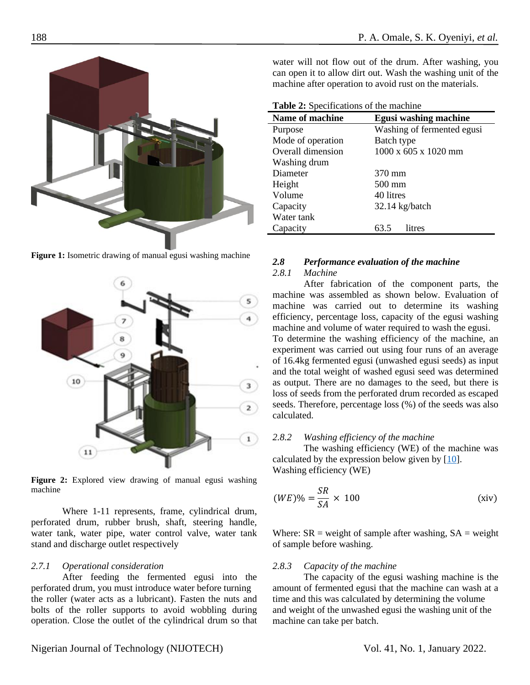

**Figure 1:** Isometric drawing of manual egusi washing machine



**Figure 2:** Explored view drawing of manual egusi washing machine

Where 1-11 represents, frame, cylindrical drum, perforated drum, rubber brush, shaft, steering handle, water tank, water pipe, water control valve, water tank stand and discharge outlet respectively

## *2.7.1 Operational consideration*

After feeding the fermented egusi into the perforated drum, you must introduce water before turning the roller (water acts as a lubricant). Fasten the nuts and bolts of the roller supports to avoid wobbling during operation. Close the outlet of the cylindrical drum so that

water will not flow out of the drum. After washing, you can open it to allow dirt out. Wash the washing unit of the machine after operation to avoid rust on the materials.

**Table 2:** Specifications of the machine

| <b>Name of machine</b> | <b>Egusi washing machine</b> |  |  |  |  |  |
|------------------------|------------------------------|--|--|--|--|--|
| Purpose                | Washing of fermented egusi   |  |  |  |  |  |
| Mode of operation      | Batch type                   |  |  |  |  |  |
| Overall dimension      | 1000 x 605 x 1020 mm         |  |  |  |  |  |
| Washing drum           |                              |  |  |  |  |  |
| Diameter               | 370 mm                       |  |  |  |  |  |
| Height                 | 500 mm                       |  |  |  |  |  |
| Volume                 | 40 litres                    |  |  |  |  |  |
| Capacity               | $32.14$ kg/batch             |  |  |  |  |  |
| Water tank             |                              |  |  |  |  |  |
| Capacity               | litres<br>63.5               |  |  |  |  |  |

# *2.8 Performance evaluation of the machine 2.8.1 Machine*

After fabrication of the component parts, the machine was assembled as shown below. Evaluation of machine was carried out to determine its washing efficiency, percentage loss, capacity of the egusi washing machine and volume of water required to wash the egusi. To determine the washing efficiency of the machine, an experiment was carried out using four runs of an average of 16.4kg fermented egusi (unwashed egusi seeds) as input and the total weight of washed egusi seed was determined as output. There are no damages to the seed, but there is loss of seeds from the perforated drum recorded as escaped seeds. Therefore, percentage loss (%) of the seeds was also calculated.

## *2.8.2 Washing efficiency of the machine*

The washing efficiency (WE) of the machine was calculated by the expression below given by [\[10\]](#page-6-8). Washing efficiency (WE)

$$
(WE)\% = \frac{SR}{SA} \times 100
$$
 (xiv)

Where:  $SR$  = weight of sample after washing,  $SA$  = weight of sample before washing.

## *2.8.3 Capacity of the machine*

The capacity of the egusi washing machine is the amount of fermented egusi that the machine can wash at a time and this was calculated by determining the volume and weight of the unwashed egusi the washing unit of the machine can take per batch.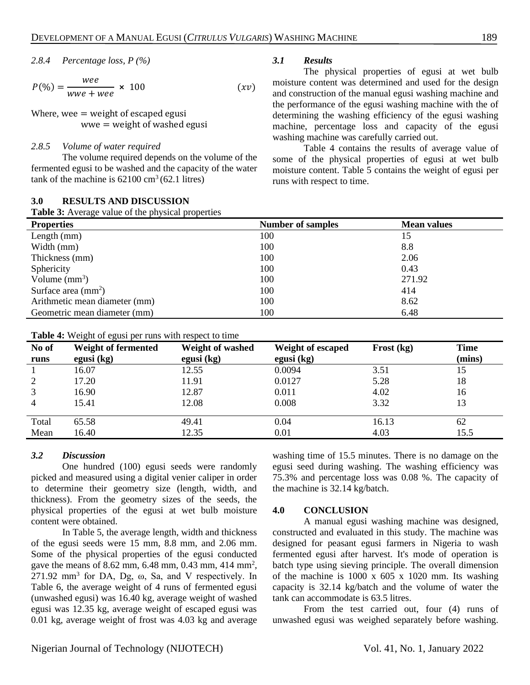2.8.4 *Percentage loss*, 
$$
P\left(\frac{\%}{\%}\right)
$$

$$
P(\%) = \frac{wee}{wwe + wee} \times 100 \tag{xv}
$$

Where, wee  $=$  weight of escaped egusi  $wwe = weight of washed egusi$ 

#### *2.8.5 Volume of water required*

The volume required depends on the volume of the fermented egusi to be washed and the capacity of the water tank of the machine is  $62100 \text{ cm}^3(62.1 \text{ litres})$ 

#### **3.0 RESULTS AND DISCUSSION**

**Table 3:** Average value of the physical properties

## *3.1 Results*

The physical properties of egusi at wet bulb moisture content was determined and used for the design and construction of the manual egusi washing machine and the performance of the egusi washing machine with the of determining the washing efficiency of the egusi washing machine, percentage loss and capacity of the egusi washing machine was carefully carried out.

Table 4 contains the results of average value of some of the physical properties of egusi at wet bulb moisture content. Table 5 contains the weight of egusi per runs with respect to time.

| <b>Table 5:</b> Average value of the physical properties |                          |                    |  |  |  |
|----------------------------------------------------------|--------------------------|--------------------|--|--|--|
| <b>Properties</b>                                        | <b>Number of samples</b> | <b>Mean values</b> |  |  |  |
| Length $(mm)$                                            | 100                      | 15                 |  |  |  |
| Width (mm)                                               | 100                      | 8.8                |  |  |  |
| Thickness (mm)                                           | 100                      | 2.06               |  |  |  |
| Sphericity                                               | 100                      | 0.43               |  |  |  |
| Volume $(mm^3)$                                          | 100                      | 271.92             |  |  |  |
| Surface area $\text{(mm)}^2$                             | 100                      | 414                |  |  |  |
| Arithmetic mean diameter (mm)                            | 100                      | 8.62               |  |  |  |
| Geometric mean diameter (mm)                             | 100                      | 6.48               |  |  |  |

#### **Table 4:** Weight of egusi per runs with respect to time

| No of<br>runs | <b>Weight of fermented</b><br>egusi $(kg)$ | <b>Weight of washed</b><br>egusi (kg) | Weight of escaped<br>egusi $(kg)$ | Frost (kg) | <b>Time</b><br>(mins) |
|---------------|--------------------------------------------|---------------------------------------|-----------------------------------|------------|-----------------------|
|               | 16.07                                      | 12.55                                 | 0.0094                            | 3.51       | 15                    |
|               | 17.20                                      | 11.91                                 | 0.0127                            | 5.28       | 18                    |
|               | 16.90                                      | 12.87                                 | 0.011                             | 4.02       | 16                    |
| 4             | 15.41                                      | 12.08                                 | 0.008                             | 3.32       | 13                    |
| Total         | 65.58                                      | 49.41                                 | 0.04                              | 16.13      | 62                    |
| Mean          | 16.40                                      | 12.35                                 | 0.01                              | 4.03       | 15.5                  |

## *3.2 Discussion*

One hundred (100) egusi seeds were randomly picked and measured using a digital venier caliper in order to determine their geometry size (length, width, and thickness). From the geometry sizes of the seeds, the physical properties of the egusi at wet bulb moisture content were obtained.

In Table 5, the average length, width and thickness of the egusi seeds were 15 mm, 8.8 mm, and 2.06 mm. Some of the physical properties of the egusi conducted gave the means of 8.62 mm, 6.48 mm, 0.43 mm, 414 mm<sup>2</sup>,  $271.92$  mm<sup>3</sup> for DA, Dg,  $\omega$ , Sa, and V respectively. In Table 6, the average weight of 4 runs of fermented egusi (unwashed egusi) was 16.40 kg, average weight of washed egusi was 12.35 kg, average weight of escaped egusi was 0.01 kg, average weight of frost was 4.03 kg and average

washing time of 15.5 minutes. There is no damage on the egusi seed during washing. The washing efficiency was 75.3% and percentage loss was 0.08 %. The capacity of the machine is 32.14 kg/batch.

## **4.0 CONCLUSION**

A manual egusi washing machine was designed, constructed and evaluated in this study. The machine was designed for peasant egusi farmers in Nigeria to wash fermented egusi after harvest. It's mode of operation is batch type using sieving principle. The overall dimension of the machine is  $1000 \times 605 \times 1020$  mm. Its washing capacity is 32.14 kg/batch and the volume of water the tank can accommodate is 63.5 litres.

From the test carried out, four (4) runs of unwashed egusi was weighed separately before washing.